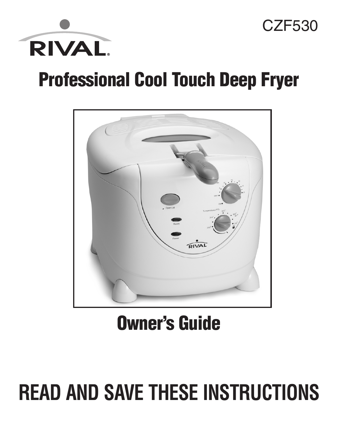

### **Professional Cool Touch Deep Fryer**

CZF530



### **Owner's Guide**

# **READ AND SAVE THESE INSTRUCTIONS**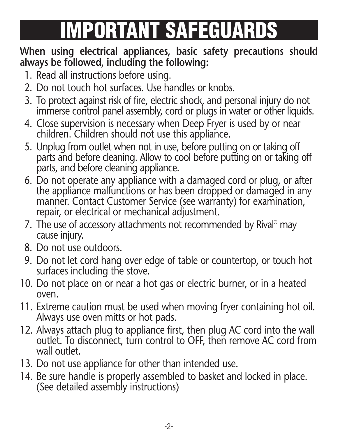# **IMPORTANT SAFEGUARDS**

#### **When using electrical appliances, basic safety precautions should always be followed, including the following:**

- 1. Read all instructions before using.
- 2. Do not touch hot surfaces. Use handles or knobs.
- 3. To protect against risk of fire, electric shock, and personal injury do not immerse control panel assembly, cord or plugs in water or other liquids.
- 4. Close supervision is necessary when Deep Fryer is used by or near children. Children should not use this appliance.
- 5. Unplug from outlet when not in use, before putting on or taking off parts and before cleaning. Allow to cool before putting on or taking off parts, and before cleaning appliance.
- 6. Do not operate any appliance with a damaged cord or plug, or after the appliance malfunctions or has been dropped or damaged in any manner. Contact Customer Service (see warranty) for examination, repair, or electrical or mechanical adjustment.
- 7. The use of accessory attachments not recommended by Rival ® may cause injury.
- 8. Do not use outdoors.
- 9. Do not let cord hang over edge of table or countertop, or touch hot surfaces including the stove.
- 10. Do not place on or near a hot gas or electric burner, or in a heated oven.
- 11. Extreme caution must be used when moving fryer containing hot oil. Always use oven mitts or hot pads.
- 12. Always attach plug to appliance first, then plug AC cord into the wall outlet. To disconnect, turn control to OFF, then remove AC cord from wall outlet.
- 13. Do not use appliance for other than intended use.
- 14. Be sure handle is properly assembled to basket and locked in place. (See detailed assembly instructions)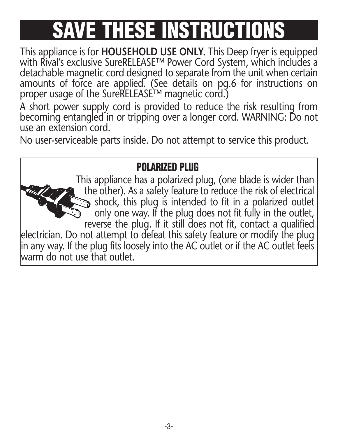## **SAME THESE INSTRUCT**

This appliance is for **HOUSEHOLD USE ONLY.** This Deep fryer is equipped with Rival's exclusive SureRELEASE™ Power Cord System, which includes a detachable magnetic cord designed to separate from the unit when certain amounts of force are applied. (See details on pg.6 for instructions on proper usage of the SureRELEASE™ magnetic cord.)

A short power supply cord is provided to reduce the risk resulting from becoming entangled in or tripping over a longer cord. WARNING: Do not use an extension cord.

No user-serviceable parts inside. Do not attempt to service this product.

#### **POLARIZED PLUG**

This appliance has a polarized plug, (one blade is wider than the other). As a safety feature to reduce the risk of electrical  $\sum$  shock, this plug is intended to fit in a polarized outlet only one way. If the plug does not fit fully in the outlet, reverse the plug. If it still does not fit, contact a qualified electrician. Do not attempt to defeat this safety feature or modify the plug in any way. If the plug fits loosely into the AC outlet or if the AC outlet feels warm do not use that outlet.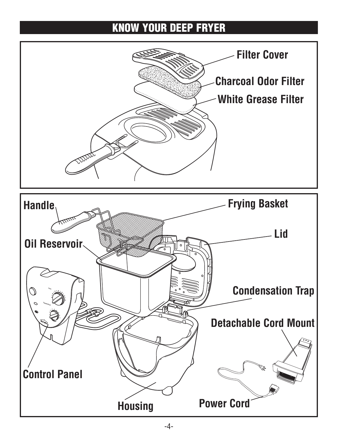#### **KNOW YOUR DEEP FRYER**

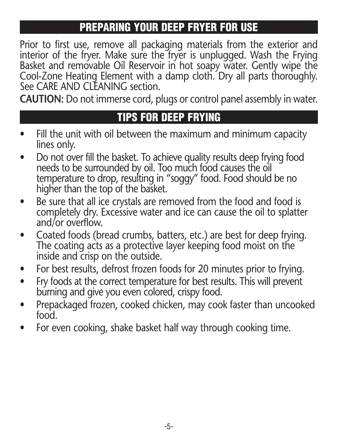#### **PREPARING YOUR DEEP FRYER FOR USE**

Prior to first use, remove all packaging materials from the exterior and interior of the fryer. Make sure the fryer is unplugged. Wash the Frying Basket and removable Oil Reservoir in hot soapy water. Gently wipe the Cool-Zone Heating Element with a damp cloth. Dry all parts thoroughly. See CARE AND CLEANING section.

**CAUTION:** Do not immerse cord, plugs or control panel assembly in water.

#### **TIPS FOR DEEP FRYING**

- Fill the unit with oil between the maximum and minimum capacity lines only.
- Do not over fill the basket. To achieve quality results deep frying food needs to be surrounded by oil. Too much food causes the oil temperature to drop, resulting in "soggy" food. Food should be no higher than the top of the basket.
- Be sure that all ice crystals are removed from the food and food is completely dry. Excessive water and ice can cause the oil to splatter and/or overflow.
- Coated foods (bread crumbs, batters, etc.) are best for deep frying. The coating acts as a protective layer keeping food moist on the inside and crisp on the outside.
- For best results, defrost frozen foods for 20 minutes prior to frying.
- Fry foods at the correct temperature for best results. This will prevent burning and give you even colored, crispy food.
- Prepackaged frozen, cooked chicken, may cook faster than uncooked food.
- For even cooking, shake basket half way through cooking time.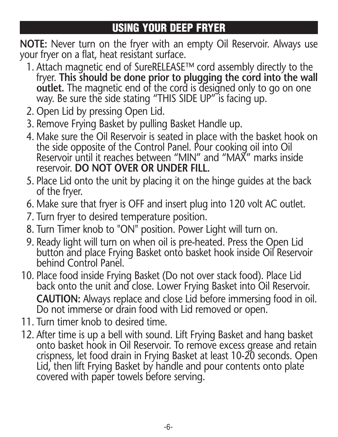#### **USING YOUR DEEP FRYER**

**NOTE:** Never turn on the fryer with an empty Oil Reservoir. Always use your fryer on a flat, heat resistant surface.

- 1. Attach magnetic end of SureRELEASE™ cord assembly directly to the fryer. **This should be done prior to plugging the cord into the wall outlet.** The magnetic end of the cord is designed only to go on one way. Be sure the side stating "THIS SIDE UP" is facing up.
- 2. Open Lid by pressing Open Lid.
- 3. Remove Frying Basket by pulling Basket Handle up.
- 4. Make sure the Oil Reservoir is seated in place with the basket hook on the side opposite of the Control Panel. Pour cooking oil into Oil Reservoir until it reaches between "MIN" and "MAX" marks inside reservoir. **DO NOT OVER OR UNDER FILL.**
- 5. Place Lid onto the unit by placing it on the hinge guides at the back of the fryer.
- 6. Make sure that fryer is OFF and insert plug into 120 volt AC outlet.
- 7. Turn fryer to desired temperature position.
- 8. Turn Timer knob to "ON" position. Power Light will turn on.
- 9. Ready light will turn on when oil is pre-heated. Press the Open Lid button and place Frying Basket onto basket hook inside Oil Reservoir behind Control Panel.
- 10. Place food inside Frying Basket (Do not over stack food). Place Lid back onto the unit and close. Lower Frying Basket into Oil Reservoir. **CAUTION:** Always replace and close Lid before immersing food in oil. Do not immerse or drain food with Lid removed or open.
- 11. Turn timer knob to desired time.
- 12. After time is up a bell with sound. Lift Frying Basket and hang basket onto basket hook in Oil Reservoir. To remove excess grease and retain crispness, let food drain in Frying Basket at least 10-20 seconds. Open Lid, then lift Frying Basket by handle and pour contents onto plate covered with paper towels before serving.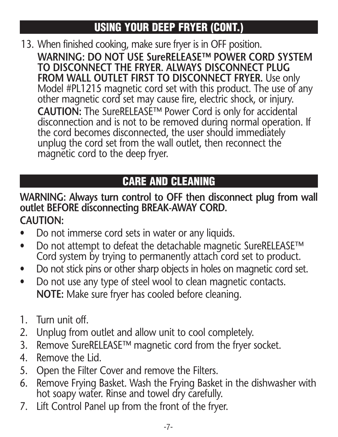### **USING YOUR DEEP FRYER (CONT.)**

13. When finished cooking, make sure fryer is in OFF position. **WARNING: DO NOT USE SureRELEASE™ POWER CORD SYSTEM TO DISCONNECT THE FRYER. ALWAYS DISCONNECT PLUG FROM WALL OUTLET FIRST TO DISCONNECT FRYER.** Use only Model #PL1215 magnetic cord set with this product. The use of any other magnetic cord set may cause fire, electric shock, or injury. **CAUTION:** The SureRELEASE™ Power Cord is only for accidental disconnection and is not to be removed during normal operation. If the cord becomes disconnected, the user should immediately unplug the cord set from the wall outlet, then reconnect the magnetic cord to the deep fryer.

### **CARE AND CLEANING**

#### **WARNING: Always turn control to OFF then disconnect plug from wall outlet BEFORE disconnecting BREAK-AWAY CORD. CAUTION:**

- Do not immerse cord sets in water or any liquids.
- Do not attempt to defeat the detachable magnetic SureRELEASE™ Cord system by trying to permanently attach cord set to product.
- Do not stick pins or other sharp objects in holes on magnetic cord set.
- Do not use any type of steel wool to clean magnetic contacts. **NOTE:** Make sure fryer has cooled before cleaning.
- 1. Turn unit off.
- 2. Unplug from outlet and allow unit to cool completely.
- 3. Remove SureRELEASE™ magnetic cord from the fryer socket.
- 4. Remove the Lid.
- 5. Open the Filter Cover and remove the Filters.
- 6. Remove Frying Basket. Wash the Frying Basket in the dishwasher with hot soapy water. Rinse and towel dry carefully.
- 7. Lift Control Panel up from the front of the fryer.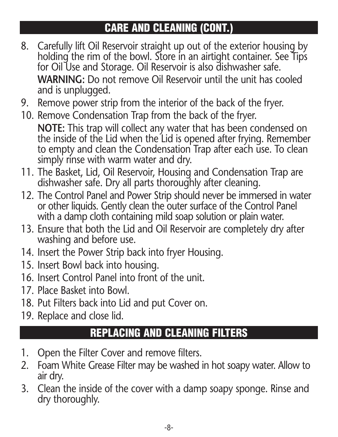### **CARE AND CLEANING (CONT.)**

- 8. Carefully lift Oil Reservoir straight up out of the exterior housing by holding the rim of the bowl. Store in an airtight container. See Tips for Oil Use and Storage. Oil Reservoir is also dishwasher safe. **WARNING:** Do not remove Oil Reservoir until the unit has cooled and is unplugged.
- 9. Remove power strip from the interior of the back of the fryer.
- 10. Remove Condensation Trap from the back of the fryer. **NOTE:** This trap will collect any water that has been condensed on the inside of the Lid when the Lid is opened after frying. Remember to empty and clean the Condensation Trap after each use. To clean simply rinse with warm water and dry.
- 11. The Basket, Lid, Oil Reservoir, Housing and Condensation Trap are dishwasher safe. Dry all parts thoroughly after cleaning.
- 12. The Control Panel and Power Strip should never be immersed in water or other liquids. Gently clean the outer surface of the Control Panel with a damp cloth containing mild soap solution or plain water.
- 13. Ensure that both the Lid and Oil Reservoir are completely dry after washing and before use.
- 14. Insert the Power Strip back into fryer Housing.
- 15. Insert Bowl back into housing.
- 16. Insert Control Panel into front of the unit.
- 17. Place Basket into Bowl.
- 18. Put Filters back into Lid and put Cover on.
- 19. Replace and close lid.

#### **REPLACING AND CLEANING FILTERS**

- 1. Open the Filter Cover and remove filters.
- 2. Foam White Grease Filter may be washed in hot soapy water. Allow to air dry.
- 3. Clean the inside of the cover with a damp soapy sponge. Rinse and dry thoroughly.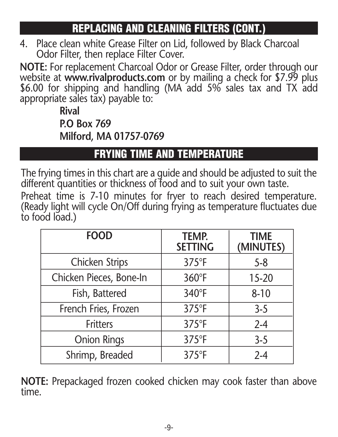#### **REPLACING AND CLEANING FILTERS (CONT.)**

4. Place clean white Grease Filter on Lid, followed by Black Charcoal Odor Filter, then replace Filter Cover.

**NOTE:** For replacement Charcoal Odor or Grease Filter, order through our website at **www.rivalproducts.com** or by mailing a check for \$7.99 plus \$6.00 for shipping and handling (MA add 5% sales tax and TX add appropriate sales tax) payable to:

> **Rival P.O Box 769 Milford, MA 01757-0769**

#### **FRYING TIME AND TEMPERATURE**

The frying times in this chart are a guide and should be adjusted to suit the different quantities or thickness of food and to suit your own taste.

Preheat time is 7-10 minutes for fryer to reach desired temperature. (Ready light will cycle On/Off during frying as temperature fluctuates due to food load.)

| <b>FOOD</b>             | <b>TEMP.</b><br><b>SETTING</b> | <b>TIME</b><br>(MINUTES) |
|-------------------------|--------------------------------|--------------------------|
| Chicken Strips          | $375^{\circ}$ F                | $5 - 8$                  |
| Chicken Pieces, Bone-In | 360°F                          | 15-20                    |
| Fish, Battered          | 340°F                          | $8 - 10$                 |
| French Fries, Frozen    | $375^{\circ}F$                 | $3 - 5$                  |
| <b>Fritters</b>         | $375^{\circ}F$                 | $2 - 4$                  |
| <b>Onion Rings</b>      | 375°F                          | $3 - 5$                  |
| Shrimp, Breaded         | $375^{\circ}F$                 | $2 - 4$                  |

**NOTE:** Prepackaged frozen cooked chicken may cook faster than above time.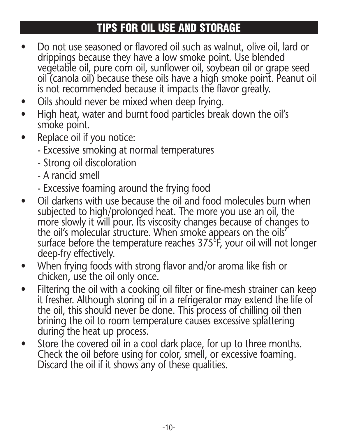#### **TIPS FOR OIL USE AND STORAGE**

- Do not use seasoned or flavored oil such as walnut, olive oil, lard or drippings because they have a low smoke point. Use blended vegetable oil, pure corn oil, sunflower oil, soybean oil or grape seed oil (canola oil) because these oils have a high smoke point. Peanut oil is not recommended because it impacts the flavor greatly.
- Oils should never be mixed when deep frying.
- High heat, water and burnt food particles break down the oil's smoke point.
- Replace oil if you notice:
	- Excessive smoking at normal temperatures
	- Strong oil discoloration
	- A rancid smell
	- Excessive foaming around the frying food
- Oil darkens with use because the oil and food molecules burn when subjected to high/prolonged heat. The more you use an oil, the more slowly it will pour. Its viscosity changes because of changes to the oil's molecular structure. When smoke appears on the oils' surface before the temperature reaches  $375^{\circ}$ F, your oil will not longer deep-fry effectively.
- When frying foods with strong flavor and/or aroma like fish or chicken, use the oil only once.
- Filtering the oil with a cooking oil filter or fine-mesh strainer can keep it fresher. Although storing oil in a refrigerator may extend the life of the oil, this should never be done. This process of chilling oil then brining the oil to room temperature causes excessive splattering during the heat up process.
- Store the covered oil in a cool dark place, for up to three months. Check the oil before using for color, smell, or excessive foaming. Discard the oil if it shows any of these qualities.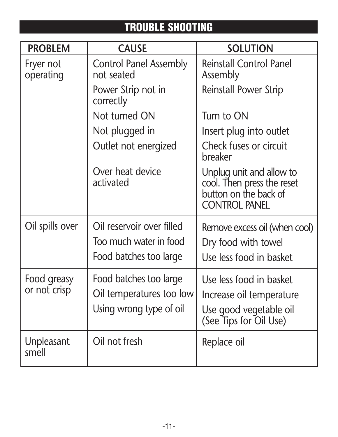### **TROUBLE SHOOTING**

| <b>PROBLEM</b>              | <b>CAUSE</b>                                                                  | <b>SOLUTION</b>                                                                                         |
|-----------------------------|-------------------------------------------------------------------------------|---------------------------------------------------------------------------------------------------------|
| Fryer not<br>operating      | <b>Control Panel Assembly</b><br>not seated                                   | <b>Reinstall Control Panel</b><br>Assembly                                                              |
|                             | Power Strip not in<br>correctly                                               | Reinstall Power Strip                                                                                   |
|                             | Not turned ON                                                                 | Turn to ON                                                                                              |
|                             | Not plugged in                                                                | Insert plug into outlet                                                                                 |
|                             | Outlet not energized                                                          | Check fuses or circuit<br>breaker                                                                       |
|                             | Over heat device<br>activated                                                 | Unplug unit and allow to<br>cool. Then press the reset<br>button on the back of<br><b>CONTROL PANEL</b> |
| Oil spills over             | Oil reservoir over filled<br>Too much water in food<br>Food batches too large | Remove excess oil (when cool)<br>Dry food with towel<br>Use less food in basket                         |
| Food greasy<br>or not crisp | Food batches too large<br>Oil temperatures too low<br>Using wrong type of oil | Use less food in basket<br>Increase oil temperature<br>Use good vegetable oil<br>(See Tips for Oil Use) |
| Unpleasant<br>smell         | Oil not fresh                                                                 | Replace oil                                                                                             |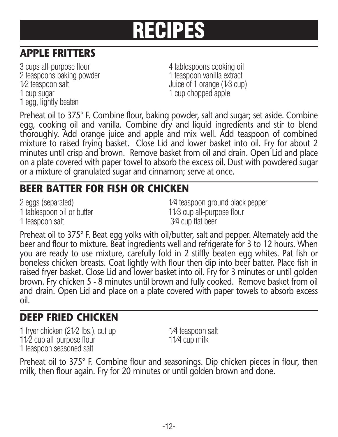## **RECIPES**

### **APPLE FRITTERS**

3 cups all-purpose flour 4 tablespoons cooking oil 2 teaspoons baking powder 1 teaspoon vanilla extract  $1/2$  teaspoon salt Juice of 1 orange  $(1/3 \text{ cup})$ 1 cup sugar 1 cup chopped apple 1 egg, lightly beaten

Preheat oil to 375° F. Combine flour, baking powder, salt and sugar; set aside. Combine egg, cooking oil and vanilla. Combine dry and liquid ingredients and stir to blend thoroughly. Add orange juice and apple and mix well. Add teaspoon of combined mixture to raised frying basket. Close Lid and lower basket into oil. Fry for about 2 minutes until crisp and brown. Remove basket from oil and drain. Open Lid and place on a plate covered with paper towel to absorb the excess oil. Dust with powdered sugar or a mixture of granulated sugar and cinnamon; serve at once.

#### **BEER BATTER FOR FISH OR CHICKEN**

1 teaspoon salt 3⁄4 cup flat beer

2 eggs (separated) 2 and  $\frac{1}{4}$  teaspoon ground black pepper 1 tablespoon oil or butter 11/3 cup all-purpose flour

Preheat oil to 375° F. Beat egg yolks with oil/butter, salt and pepper. Alternately add the beer and flour to mixture. Beat ingredients well and refrigerate for 3 to 12 hours. When you are ready to use mixture, carefully fold in 2 stiffly beaten egg whites. Pat fish or boneless chicken breasts. Coat lightly with flour then dip into beer batter. Place fish in raised fryer basket. Close Lid and lower basket into oil. Fry for 3 minutes or until golden brown. Fry chicken 5 - 8 minutes until brown and fully cooked. Remove basket from oil and drain. Open Lid and place on a plate covered with paper towels to absorb excess oil.

#### **DEEP FRIED CHICKEN**

1 fryer chicken (21/2 lbs.), cut up 1/4 teaspoon salt 11⁄2 cup all-purpose flour 11⁄4 cup milk 1 teaspoon seasoned salt

Preheat oil to 375° F. Combine flour and seasonings. Dip chicken pieces in flour, then milk, then flour again. Fry for 20 minutes or until golden brown and done.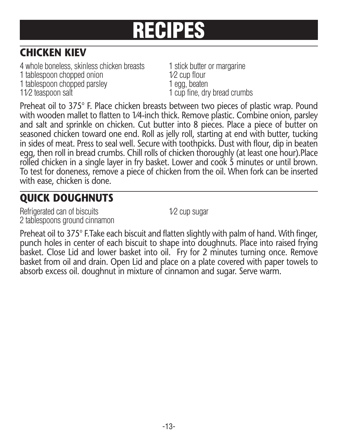# **RECIPES**

#### **CHICKEN KIEV**

4 whole boneless, skinless chicken breasts 1 stick butter or margarine 1 tablespoon chopped onion 1/2 cup flour 1 tablespoon chopped parsley 1 egg, beaten 11⁄2 teaspoon salt 1 cup fine, dry bread crumbs

Preheat oil to 375° F. Place chicken breasts between two pieces of plastic wrap. Pound with wooden mallet to flatten to 1⁄4-inch thick. Remove plastic. Combine onion, parsley and salt and sprinkle on chicken. Cut butter into 8 pieces. Place a piece of butter on seasoned chicken toward one end. Roll as jelly roll, starting at end with butter, tucking in sides of meat. Press to seal well. Secure with toothpicks. Dust with flour, dip in beaten egg, then roll in bread crumbs. Chill rolls of chicken thoroughly (at least one hour).Place rolled chicken in a single layer in fry basket. Lower and cook 5 minutes or until brown. To test for doneness, remove a piece of chicken from the oil. When fork can be inserted with ease, chicken is done.

#### **QUICK DOUGHNUTS**

Refrigerated can of biscuits 1⁄2 cup sugar 2 tablespoons ground cinnamon

Preheat oil to 375° F. Take each biscuit and flatten slightly with palm of hand. With finger, punch holes in center of each biscuit to shape into doughnuts. Place into raised frying basket. Close Lid and lower basket into oil. Fry for 2 minutes turning once. Remove basket from oil and drain. Open Lid and place on a plate covered with paper towels to absorb excess oil. doughnut in mixture of cinnamon and sugar. Serve warm.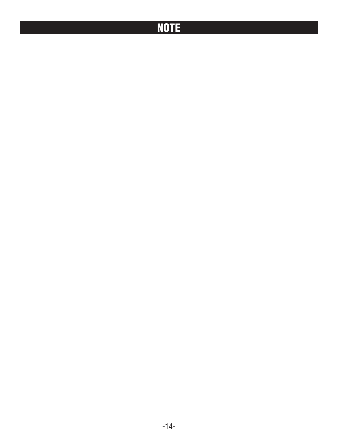### **NOTE**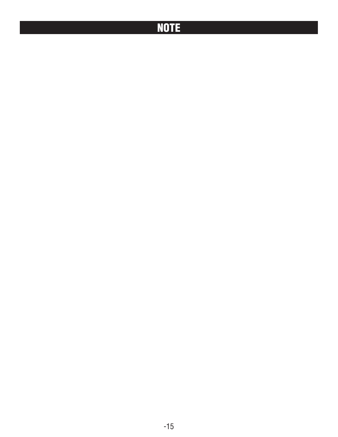#### **NOTE**